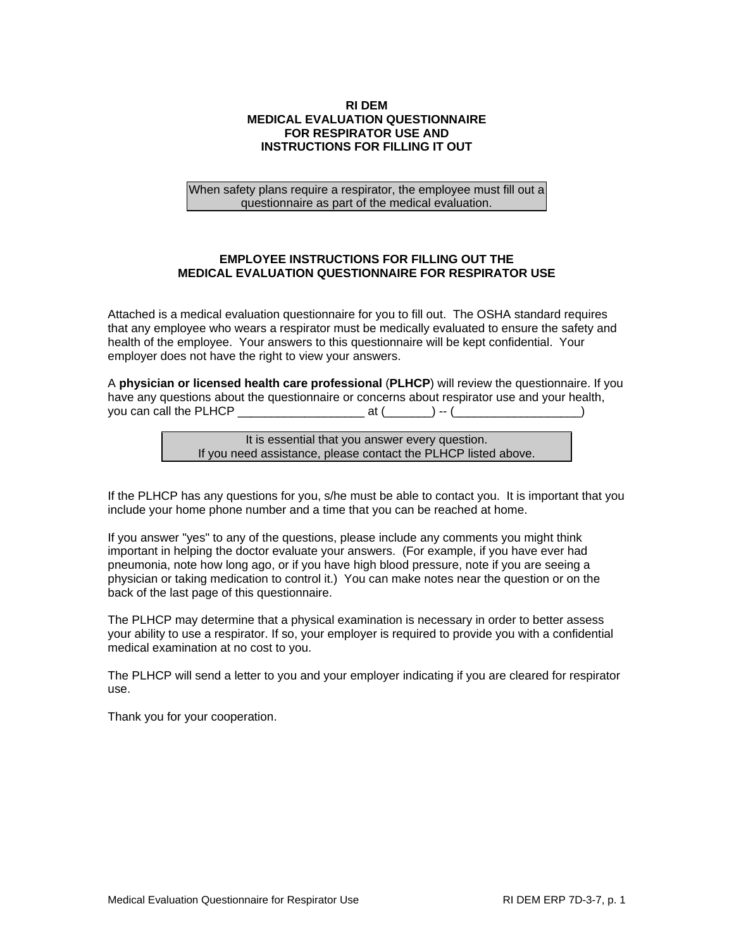## **RI DEM MEDICAL EVALUATION QUESTIONNAIRE FOR RESPIRATOR USE AND INSTRUCTIONS FOR FILLING IT OUT**

When safety plans require a respirator, the employee must fill out a questionnaire as part of the medical evaluation.

## **EMPLOYEE INSTRUCTIONS FOR FILLING OUT THE MEDICAL EVALUATION QUESTIONNAIRE FOR RESPIRATOR USE**

Attached is a medical evaluation questionnaire for you to fill out. The OSHA standard requires that any employee who wears a respirator must be medically evaluated to ensure the safety and health of the employee. Your answers to this questionnaire will be kept confidential. Your employer does not have the right to view your answers.

A **physician or licensed health care professional** (**PLHCP**) will review the questionnaire. If you have any questions about the questionnaire or concerns about respirator use and your health, you can call the PLHCP \_\_\_\_\_\_\_\_\_\_\_\_\_\_\_\_\_\_\_ at (\_\_\_\_\_\_\_) -- (\_\_\_\_\_\_\_\_\_\_\_\_\_\_\_\_\_\_\_)

> It is essential that you answer every question. If you need assistance, please contact the PLHCP listed above.

If the PLHCP has any questions for you, s/he must be able to contact you. It is important that you include your home phone number and a time that you can be reached at home.

If you answer "yes" to any of the questions, please include any comments you might think important in helping the doctor evaluate your answers. (For example, if you have ever had pneumonia, note how long ago, or if you have high blood pressure, note if you are seeing a physician or taking medication to control it.) You can make notes near the question or on the back of the last page of this questionnaire.

The PLHCP may determine that a physical examination is necessary in order to better assess your ability to use a respirator. If so, your employer is required to provide you with a confidential medical examination at no cost to you.

The PLHCP will send a letter to you and your employer indicating if you are cleared for respirator use.

Thank you for your cooperation.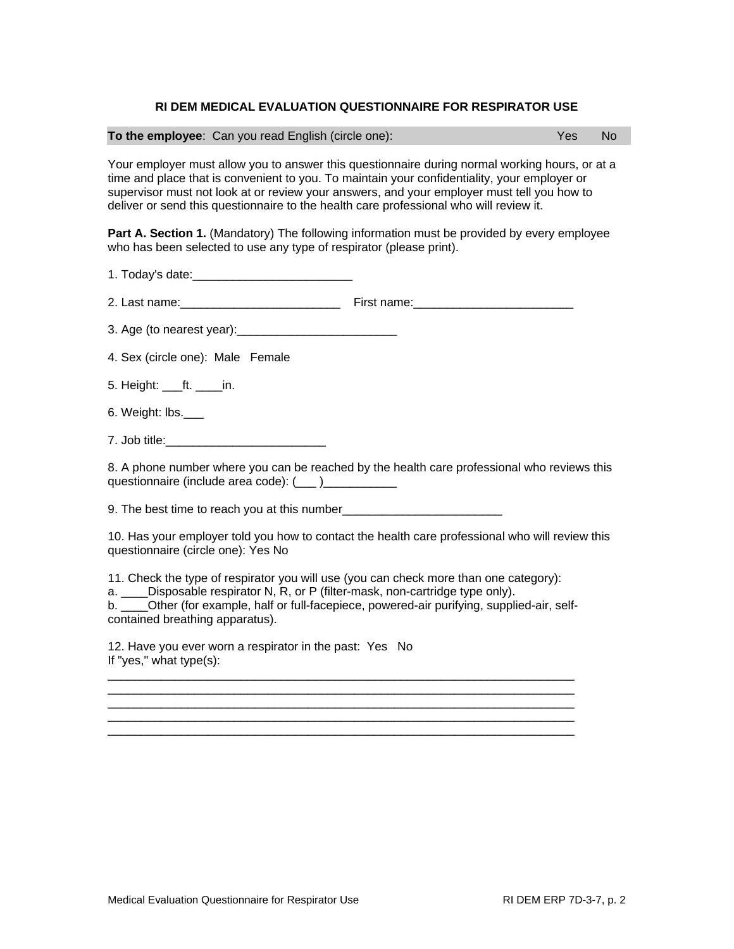## **RI DEM MEDICAL EVALUATION QUESTIONNAIRE FOR RESPIRATOR USE**

|  | To the employee: Can you read English (circle one): | Yes No |
|--|-----------------------------------------------------|--------|
|--|-----------------------------------------------------|--------|

Your employer must allow you to answer this questionnaire during normal working hours, or at a time and place that is convenient to you. To maintain your confidentiality, your employer or supervisor must not look at or review your answers, and your employer must tell you how to deliver or send this questionnaire to the health care professional who will review it.

**Part A. Section 1.** (Mandatory) The following information must be provided by every employee who has been selected to use any type of respirator (please print).

1. Today's date:\_\_\_\_\_\_\_\_\_\_\_\_\_\_\_\_\_\_\_\_\_\_\_\_

2. Last name:\_\_\_\_\_\_\_\_\_\_\_\_\_\_\_\_\_\_\_\_\_\_\_\_ First name:\_\_\_\_\_\_\_\_\_\_\_\_\_\_\_\_\_\_\_\_\_\_\_\_

3. Age (to nearest year):\_\_\_\_\_\_\_\_\_\_\_\_\_\_\_\_\_\_\_\_\_\_\_\_

4. Sex (circle one): Male Female

5. Height: ft. in.

6. Weight: lbs.\_\_\_

7. Job title:\_\_\_\_\_\_\_\_\_\_\_\_\_\_\_\_\_\_\_\_\_\_\_\_

8. A phone number where you can be reached by the health care professional who reviews this questionnaire (include area code): (\_\_\_ )\_\_\_\_\_\_\_\_\_\_\_

9. The best time to reach you at this number

10. Has your employer told you how to contact the health care professional who will review this questionnaire (circle one): Yes No

11. Check the type of respirator you will use (you can check more than one category):

a. \_\_\_\_Disposable respirator N, R, or P (filter-mask, non-cartridge type only).

b. \_\_\_\_Other (for example, half or full-facepiece, powered-air purifying, supplied-air, selfcontained breathing apparatus).

 $\overline{\phantom{a}}$  , and the set of the set of the set of the set of the set of the set of the set of the set of the set of the set of the set of the set of the set of the set of the set of the set of the set of the set of the s \_\_\_\_\_\_\_\_\_\_\_\_\_\_\_\_\_\_\_\_\_\_\_\_\_\_\_\_\_\_\_\_\_\_\_\_\_\_\_\_\_\_\_\_\_\_\_\_\_\_\_\_\_\_\_\_\_\_\_\_\_\_\_\_\_\_\_\_\_\_ \_\_\_\_\_\_\_\_\_\_\_\_\_\_\_\_\_\_\_\_\_\_\_\_\_\_\_\_\_\_\_\_\_\_\_\_\_\_\_\_\_\_\_\_\_\_\_\_\_\_\_\_\_\_\_\_\_\_\_\_\_\_\_\_\_\_\_\_\_\_  $\overline{\phantom{a}}$  , and the set of the set of the set of the set of the set of the set of the set of the set of the set of the set of the set of the set of the set of the set of the set of the set of the set of the set of the s \_\_\_\_\_\_\_\_\_\_\_\_\_\_\_\_\_\_\_\_\_\_\_\_\_\_\_\_\_\_\_\_\_\_\_\_\_\_\_\_\_\_\_\_\_\_\_\_\_\_\_\_\_\_\_\_\_\_\_\_\_\_\_\_\_\_\_\_\_\_

12. Have you ever worn a respirator in the past: Yes No If "yes," what type(s):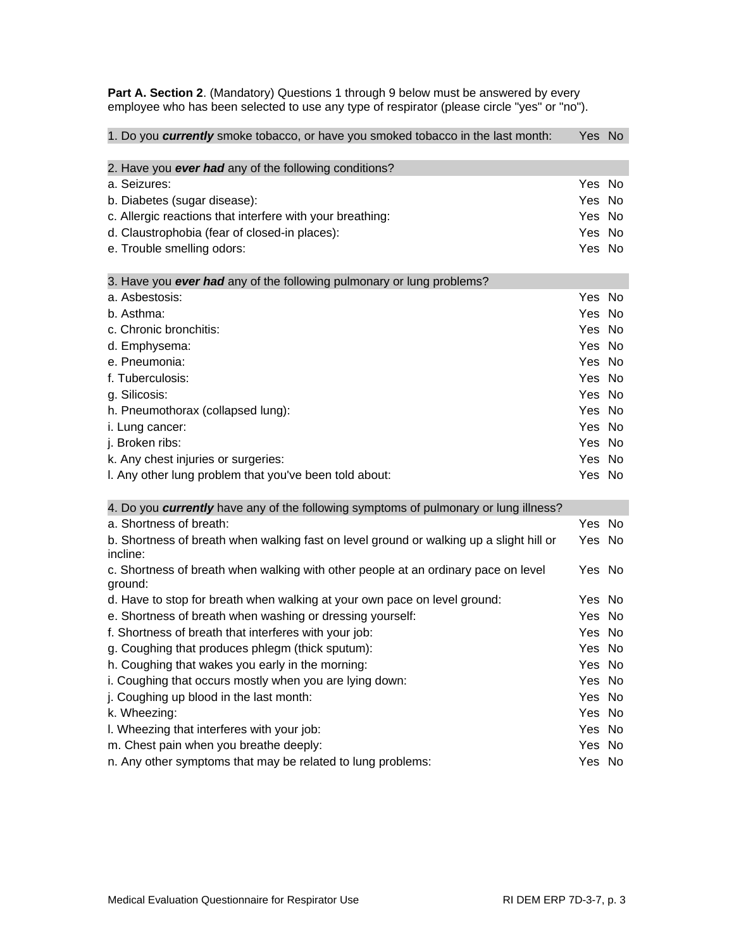**Part A. Section 2**. (Mandatory) Questions 1 through 9 below must be answered by every employee who has been selected to use any type of respirator (please circle "yes" or "no").

| 1. Do you currently smoke tobacco, or have you smoked tobacco in the last month:        |        |  |
|-----------------------------------------------------------------------------------------|--------|--|
| 2. Have you ever had any of the following conditions?                                   |        |  |
| a. Seizures:                                                                            | Yes No |  |
| b. Diabetes (sugar disease):                                                            | Yes No |  |
| c. Allergic reactions that interfere with your breathing:                               | Yes No |  |
| d. Claustrophobia (fear of closed-in places):                                           | Yes No |  |
| e. Trouble smelling odors:                                                              | Yes No |  |
|                                                                                         |        |  |
| 3. Have you ever had any of the following pulmonary or lung problems?                   |        |  |
| a. Asbestosis:                                                                          | Yes No |  |
| b. Asthma:                                                                              | Yes No |  |
| c. Chronic bronchitis:                                                                  | Yes No |  |
| d. Emphysema:                                                                           | Yes No |  |
| e. Pneumonia:                                                                           | Yes No |  |
| f. Tuberculosis:                                                                        | Yes No |  |
| g. Silicosis:                                                                           | Yes No |  |
| h. Pneumothorax (collapsed lung):                                                       | Yes No |  |
| i. Lung cancer:                                                                         | Yes No |  |
| j. Broken ribs:                                                                         | Yes No |  |
| k. Any chest injuries or surgeries:                                                     | Yes No |  |
| I. Any other lung problem that you've been told about:                                  | Yes No |  |
| 4. Do you currently have any of the following symptoms of pulmonary or lung illness?    |        |  |
| a. Shortness of breath:                                                                 | Yes No |  |
| b. Shortness of breath when walking fast on level ground or walking up a slight hill or | Yes No |  |
| incline:                                                                                |        |  |
| c. Shortness of breath when walking with other people at an ordinary pace on level      | Yes No |  |
| ground:                                                                                 |        |  |
| d. Have to stop for breath when walking at your own pace on level ground:               | Yes No |  |
| e. Shortness of breath when washing or dressing yourself:                               | Yes No |  |
| f. Shortness of breath that interferes with your job:                                   | Yes No |  |
| g. Coughing that produces phlegm (thick sputum):                                        | Yes No |  |
| h. Coughing that wakes you early in the morning:                                        | Yes No |  |
| i. Coughing that occurs mostly when you are lying down:                                 | Yes No |  |
| j. Coughing up blood in the last month:                                                 | Yes No |  |
| k. Wheezing:                                                                            | Yes No |  |
| I. Wheezing that interferes with your job:                                              | Yes No |  |
| m. Chest pain when you breathe deeply:                                                  | Yes No |  |
| n. Any other symptoms that may be related to lung problems:                             | Yes No |  |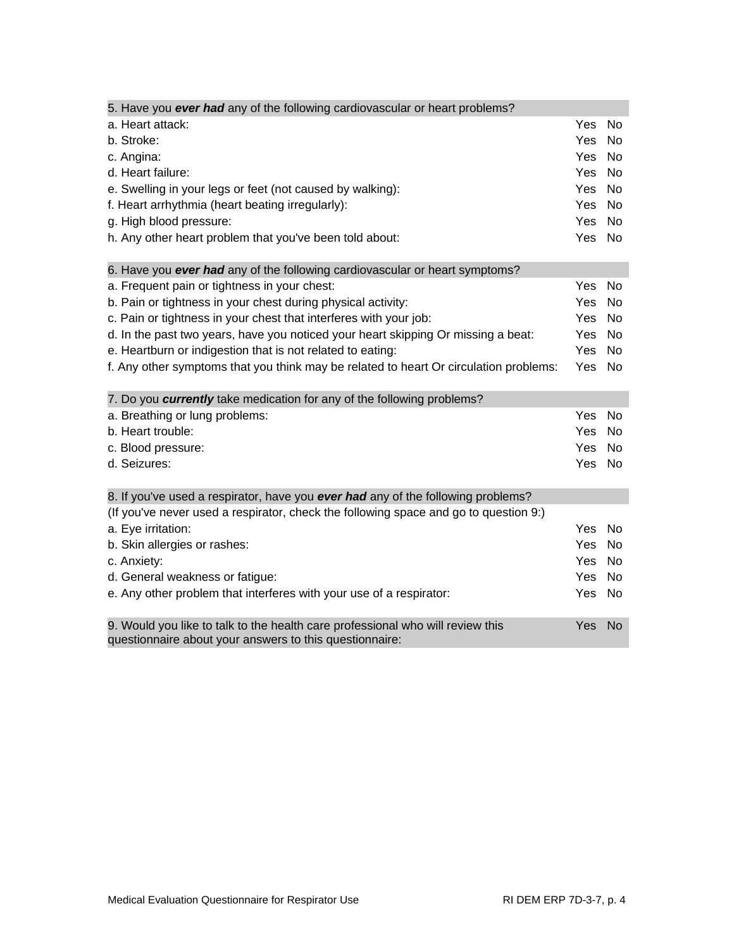| 5. Have you ever had any of the following cardiovascular or heart problems?                                                               |            |           |
|-------------------------------------------------------------------------------------------------------------------------------------------|------------|-----------|
| a. Heart attack:                                                                                                                          | Yes        | <b>No</b> |
| b. Stroke:                                                                                                                                | Yes        | No        |
| c. Angina:                                                                                                                                | Yes        | <b>No</b> |
| d. Heart failure:                                                                                                                         | <b>Yes</b> | <b>No</b> |
| e. Swelling in your legs or feet (not caused by walking):                                                                                 | Yes        | No        |
| f. Heart arrhythmia (heart beating irregularly):                                                                                          | Yes        | No        |
| g. High blood pressure:                                                                                                                   | <b>Yes</b> | No        |
| h. Any other heart problem that you've been told about:                                                                                   | Yes        | <b>No</b> |
| 6. Have you ever had any of the following cardiovascular or heart symptoms?                                                               |            |           |
| a. Frequent pain or tightness in your chest:                                                                                              | Yes        | <b>No</b> |
| b. Pain or tightness in your chest during physical activity:                                                                              | Yes        | No        |
| c. Pain or tightness in your chest that interferes with your job:                                                                         | Yes        | No        |
| d. In the past two years, have you noticed your heart skipping Or missing a beat:                                                         | Yes        | No        |
| e. Heartburn or indigestion that is not related to eating:                                                                                | <b>Yes</b> | No        |
| f. Any other symptoms that you think may be related to heart Or circulation problems:                                                     | Yes        | <b>No</b> |
| 7. Do you currently take medication for any of the following problems?                                                                    |            |           |
| a. Breathing or lung problems:                                                                                                            | Yes        | No        |
| b. Heart trouble:                                                                                                                         | Yes        | No        |
| c. Blood pressure:                                                                                                                        | <b>Yes</b> | <b>No</b> |
| d. Seizures:                                                                                                                              | Yes        | No        |
| 8. If you've used a respirator, have you ever had any of the following problems?                                                          |            |           |
| (If you've never used a respirator, check the following space and go to question 9:)                                                      |            |           |
| a. Eye irritation:                                                                                                                        | <b>Yes</b> | <b>No</b> |
| b. Skin allergies or rashes:                                                                                                              | Yes        | No        |
| c. Anxiety:                                                                                                                               | Yes        | No        |
| d. General weakness or fatigue:                                                                                                           | <b>Yes</b> | No        |
| e. Any other problem that interferes with your use of a respirator:                                                                       | Yes        | No        |
| 9. Would you like to talk to the health care professional who will review this<br>questionnaire about your answers to this questionnaire: | Yes        | <b>No</b> |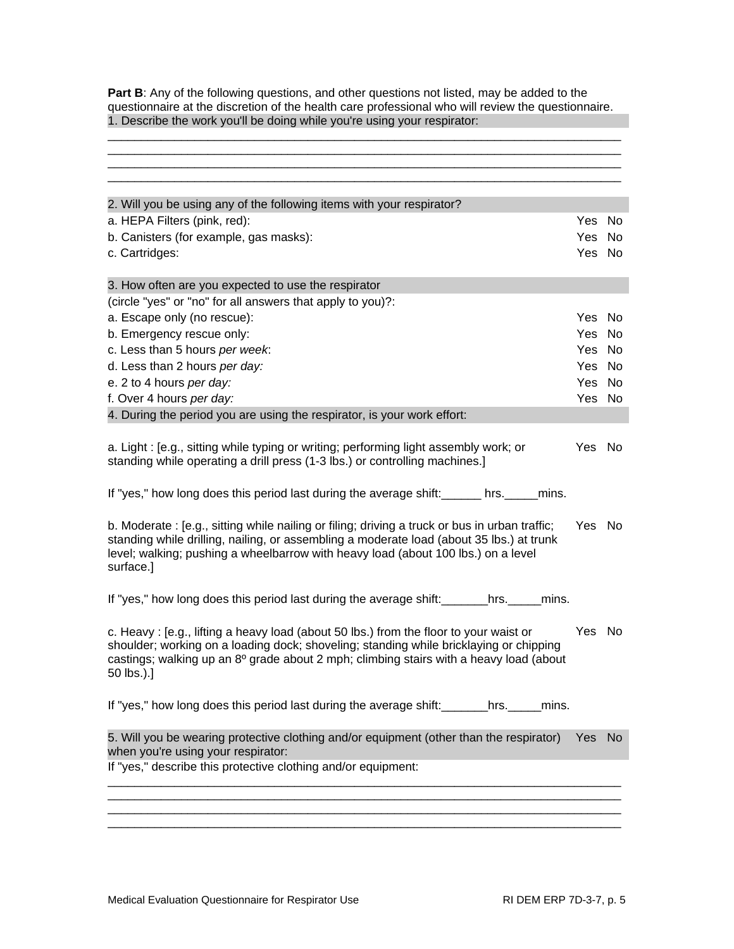**Part B**: Any of the following questions, and other questions not listed, may be added to the questionnaire at the discretion of the health care professional who will review the questionnaire. 1. Describe the work you'll be doing while you're using your respirator: \_\_\_\_\_\_\_\_\_\_\_\_\_\_\_\_\_\_\_\_\_\_\_\_\_\_\_\_\_\_\_\_\_\_\_\_\_\_\_\_\_\_\_\_\_\_\_\_\_\_\_\_\_\_\_\_\_\_\_\_\_\_\_\_\_\_\_\_\_\_\_\_\_\_\_\_\_

\_\_\_\_\_\_\_\_\_\_\_\_\_\_\_\_\_\_\_\_\_\_\_\_\_\_\_\_\_\_\_\_\_\_\_\_\_\_\_\_\_\_\_\_\_\_\_\_\_\_\_\_\_\_\_\_\_\_\_\_\_\_\_\_\_\_\_\_\_\_\_\_\_\_\_\_\_

| 2. Will you be using any of the following items with your respirator?<br>a. HEPA Filters (pink, red):<br>b. Canisters (for example, gas masks):<br>c. Cartridges:<br>3. How often are you expected to use the respirator                                                                            | Yes No<br>Yes.<br>Yes No<br>Yes No | No.            |
|-----------------------------------------------------------------------------------------------------------------------------------------------------------------------------------------------------------------------------------------------------------------------------------------------------|------------------------------------|----------------|
|                                                                                                                                                                                                                                                                                                     |                                    |                |
|                                                                                                                                                                                                                                                                                                     |                                    |                |
|                                                                                                                                                                                                                                                                                                     |                                    |                |
|                                                                                                                                                                                                                                                                                                     |                                    |                |
|                                                                                                                                                                                                                                                                                                     |                                    |                |
|                                                                                                                                                                                                                                                                                                     |                                    |                |
| (circle "yes" or "no" for all answers that apply to you)?:                                                                                                                                                                                                                                          |                                    |                |
| a. Escape only (no rescue):                                                                                                                                                                                                                                                                         |                                    |                |
| b. Emergency rescue only:                                                                                                                                                                                                                                                                           | Yes                                | No.            |
| c. Less than 5 hours per week:                                                                                                                                                                                                                                                                      | Yes No                             |                |
| d. Less than 2 hours per day:                                                                                                                                                                                                                                                                       | Yes No                             |                |
| e. 2 to 4 hours per day:                                                                                                                                                                                                                                                                            | Yes                                | No             |
| f. Over 4 hours per day:                                                                                                                                                                                                                                                                            | Yes No                             |                |
| 4. During the period you are using the respirator, is your work effort:                                                                                                                                                                                                                             |                                    |                |
| a. Light: [e.g., sitting while typing or writing; performing light assembly work; or<br>standing while operating a drill press (1-3 lbs.) or controlling machines.]                                                                                                                                 | Yes No                             |                |
|                                                                                                                                                                                                                                                                                                     |                                    |                |
| b. Moderate: [e.g., sitting while nailing or filing; driving a truck or bus in urban traffic;<br>standing while drilling, nailing, or assembling a moderate load (about 35 lbs.) at trunk<br>level; walking; pushing a wheelbarrow with heavy load (about 100 lbs.) on a level<br>surface.]         | Yes No                             |                |
| If "yes," how long does this period last during the average shift: _______hrs. ______mins.                                                                                                                                                                                                          |                                    |                |
| c. Heavy: [e.g., lifting a heavy load (about 50 lbs.) from the floor to your waist or<br>shoulder; working on a loading dock; shoveling; standing while bricklaying or chipping<br>castings; walking up an 8 <sup>o</sup> grade about 2 mph; climbing stairs with a heavy load (about<br>50 lbs.).] | Yes No                             |                |
| If "yes," how long does this period last during the average shift: _______hrs. ______ mins.                                                                                                                                                                                                         |                                    |                |
| 5. Will you be wearing protective clothing and/or equipment (other than the respirator)<br>when you're using your respirator:                                                                                                                                                                       | Yes                                | N <sub>o</sub> |
| If "yes," describe this protective clothing and/or equipment:                                                                                                                                                                                                                                       |                                    |                |
|                                                                                                                                                                                                                                                                                                     |                                    |                |
|                                                                                                                                                                                                                                                                                                     |                                    |                |
|                                                                                                                                                                                                                                                                                                     |                                    |                |